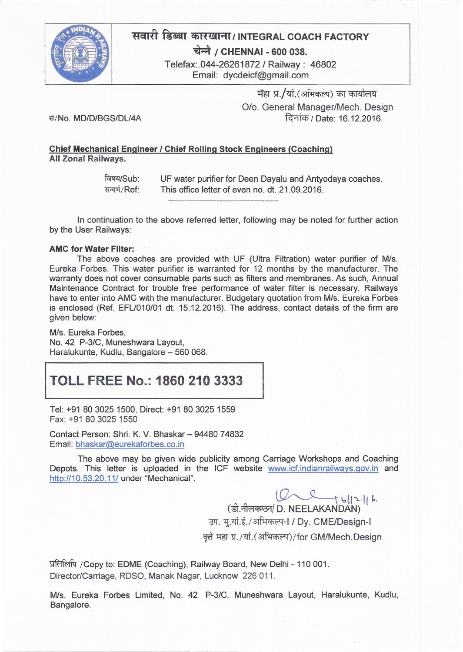

# सवारी डिब्बा कारखाना/INTEGRAL COACH FACTORY

*~ I* CHENNAI - <sup>600</sup> 038.

Telefax:.044-26261872 *I* Railway: 46802 Email: [dycdeicf@gmail.com](mailto:dycdeicf@gmail.com)

> मेहा प्र./यां.(अभिकल्प) का कार्यालय *0/0.* General Manager/Mech. Design दिनांक / Date: 16,12,2016.

*~/No. MDID/BGS/DlI4A*

### Chief Mechanical Engineer *I* Chief ROiling Stock Engineers (Coaching) All Zonal Railways.

विषय/Sub: सन्दर्भ/Ref: UF water purifier for Deen Dayalu and Antyodaya coaches. This office letter of even no. dt. 21.09.2016.

In continuation to the above referred letter, following may be noted for further action by the User Railways:

#### AMC for Water Filter:

The above coaches are provided with UF (Ultra Filtration) water purifier of Mis. Eureka Forbes. This water purifier is warranted for 12 months by the manufacturer. The warranty does not cover consumable parts such as filters and membranes. As such, Annual Maintenance Contract for trouble free performance of water filter is necessary. Railways have to enter into AMC with the manufacturer. Budgetary quotation from M/s. Eureka Forbes is enclosed (Ref. EFL/010/01 dt. 15.12.2016). The address, contact details of the firm are given below:

M/s. Eureka Forbes. No. 42 *P-3/C,* Muneshwara Layout, Haralukunte, Kudlu, Bangalore - 560 068.

## **TOLL FREE** No.: **1860 210** 3333

Tel: +91 80 3025 1500, Direct: +91 80 3025 1559 Fax: +91 80 3025 1550

Contact Person: Shri. K. V. Bhaskar - 94480 74832 Email: [bhaskar@eurekaforbes.co.in](mailto:bhaskar@eurekaforbes.co.in)

The above may be given wide publicity among Carriage Workshops and Coaching Depots. This letter is uploaded in the ICF website [www.icf.indianrailways.gov.in](http://www.icf.indianrailways.gov.in) and http://10.53.20.11/ under "Mechanical".

 $W \leftarrow t$   $||u||_h$ .

(डी.नीलक्ण्ठन/D. NEELAKANDAN उप. मृ.यां.इं./अभिकल्प-l / Dy. CME/Design-l क्ते महा प्र./यां.(अभिकल्प)/for GM/Mech.Design

प्रतिलिपि / Copy to: EDME (Coaching), Railway Board, New Delhi - 110 001. Director/Carriage, RDSO, Manak Nagar, Lucknow 226 011.

Mis. Eureka Forbes Limited, No. 42 *P-3/C,* Muneshwara Layout, Haralukunte, Kudlu, Bangalore.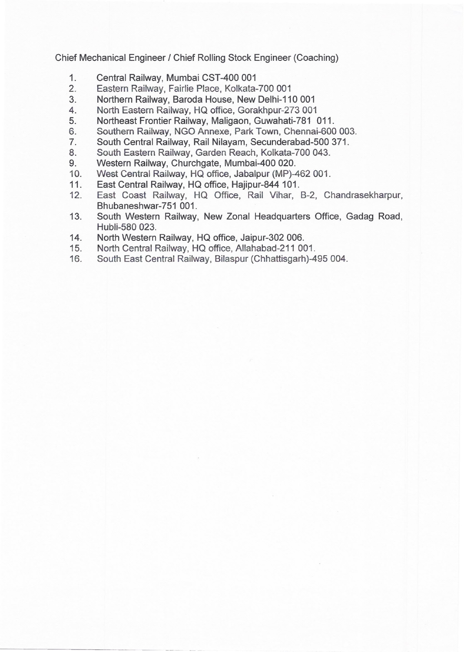Chief Mechanical Engineer *I* Chief Rolling Stock Engineer (Coaching)

- 1. Central Railway, Mumbai CST-400 001
- 2. Eastern Railway, Fairlie Place, Kolkata-700 001
- 3. Northern Railway, Baroda House, New Delhi-110 001
- 4. North Eastern Railway, HQ office, Gorakhpur-273 001
- 5. Northeast Frontier Railway, Maligaon, Guwahati-781 011.
- 6. Southern Railway, NGO Annexe, Park Town, Chennai-600 003.
- 7. South Central Railway, Rail Nilayam, Secunderabad-500 371.
- 8. South Eastern Railway, Garden Reach, Kolkata-700 043.
- 9. Western Railway, Churchgate, Mumbai-400 020.
- 10. West Central Railway, HQ office, Jabalpur (MP)-462 001.
- 11. East Central Railway, HQ office, Hajipur-844 101.
- 12. East Coast Railway, HQ Office, Rail Vihar, B-2, Chandrasekharpur, Bhubaneshwar-751 001.
- 13. South Western Railway, New Zonal Headquarters Office, Gadag Road, Hubli-580 023.
- 14. North Western Railway, HQ office, Jaipur-302 006.

------------ - --- -

- 15. North Central Railway, HQ office, Allahabad-211 001.
- 16. South East Central Railway, Bilaspur (Chhattisgarh)-495 004.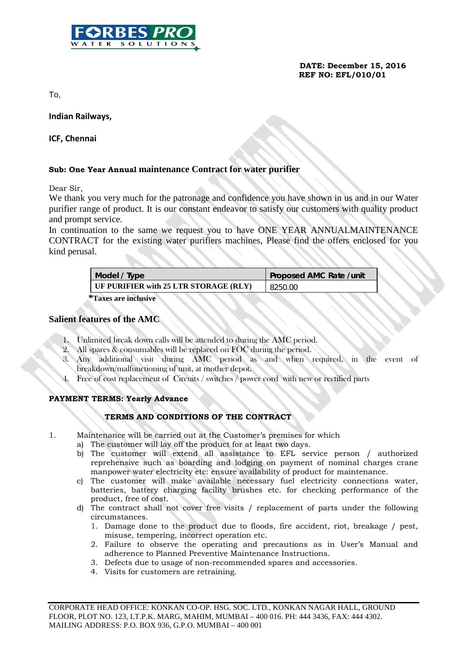

 **DATE: December 15, 2016 REF NO: EFL/010/01**

To,

**Indian Railways,** 

### **ICF, Chennai**

#### **Sub: One Year Annual maintenance Contract for water purifier**

Dear Sir,

We thank you very much for the patronage and confidence you have shown in us and in our Water purifier range of product. It is our constant endeavor to satisfy our customers with quality product and prompt service.

In continuation to the same we request you to have ONE YEAR ANNUALMAINTENANCE CONTRACT for the existing water purifiers machines, Please find the offers enclosed for you kind perusal.

| Model / Type                          | Proposed AMC Rate / unit |
|---------------------------------------|--------------------------|
| UF PURIFIER with 25 LTR STORAGE (RLY) | 8250.00                  |
| $\mathcal{L}_{\text{max}}$            |                          |

 **\*Taxes are inclusive**

#### **Salient features of the AMC**

- 1. Unlimited break down calls will be attended to during the AMC period.
- 2. All spares & consumables will be replaced on FOC during the period.
- 3. Any additional visit during AMC period as and when required, in the event of breakdown/malfunctioning of unit, at mother depot.
- 4. Free of cost replacement of Circuits / switches / power cord with new or rectified parts

#### **PAYMENT TERMS: Yearly Advance**

#### **TERMS AND CONDITIONS OF THE CONTRACT**

- 1. Maintenance will be carried out at the Customer's premises for which
	- a) The customer will lay off the product for at least two days.
	- b) The customer will extend all assistance to EFL service person / authorized reprehensive such as boarding and lodging on payment of nominal charges crane manpower water electricity etc: ensure availability of product for maintenance.
	- c) The customer will make available necessary fuel electricity connections water, batteries, battery charging facility brushes etc. for checking performance of the product, free of cost.
	- d) The contract shall not cover free visits / replacement of parts under the following circumstances.
		- 1. Damage done to the product due to floods, fire accident, riot, breakage / pest, misuse, tempering, incorrect operation etc.
		- 2. Failure to observe the operating and precautions as in User's Manual and adherence to Planned Preventive Maintenance Instructions.
		- 3. Defects due to usage of non-recommended spares and accessories.
		- 4. Visits for customers are retraining.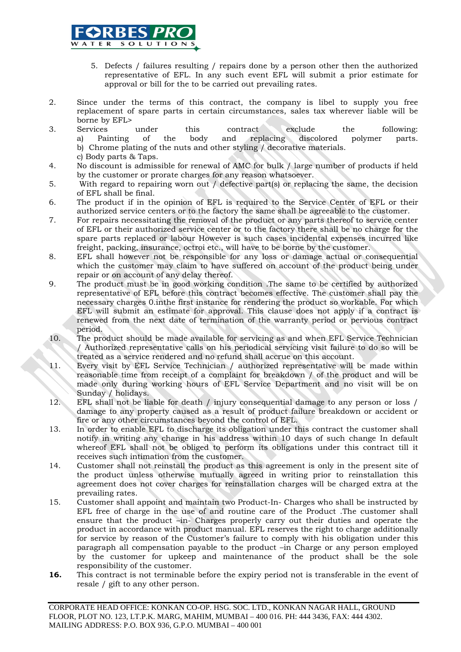

- 5. Defects / failures resulting / repairs done by a person other then the authorized representative of EFL. In any such event EFL will submit a prior estimate for approval or bill for the to be carried out prevailing rates.
- 2. Since under the terms of this contract, the company is libel to supply you free replacement of spare parts in certain circumstances, sales tax wherever liable will be borne by EFL>
- 3. Services under this contract exclude the following: a) Painting of the body and replacing discolored polymer parts. b) Chrome plating of the nuts and other styling / decorative materials. c) Body parts & Taps.
- 4. No discount is admissible for renewal of AMC for bulk / large number of products if held by the customer or prorate charges for any reason whatsoever.
- 5. With regard to repairing worn out / defective part(s) or replacing the same, the decision of EFL shall be final.
- 6. The product if in the opinion of EFL is required to the Service Center of EFL or their authorized service centers or to the factory the same shall be agreeable to the customer.
- 7. For repairs necessitating the removal of the product or any parts thereof to service center of EFL or their authorized service center or to the factory there shall be no charge for the spare parts replaced or labour However is such cases incidental expenses incurred like freight, packing, insurance, octroi etc., will have to be borne by the customer.
- 8. EFL shall however not be responsible for any loss or damage actual or consequential which the customer may claim to have suffered on account of the product being under repair or on account of any delay thereof.
- 9. The product must be in good working condition .The same to be certified by authorized representative of EFL before this contract becomes effective. The customer shall pay the necessary charges 0.inthe first instance for rendering the product so workable. For which EFL will submit an estimate for approval. This clause does not apply if a contract is renewed from the next date of termination of the warranty period or pervious contract period.
- 10. The product should be made available for servicing as and when EFL Service Technician / Authorized representative calls on his periodical servicing visit failure to do so will be treated as a service rendered and no refund shall accrue on this account.
- 11. Every visit by EFL Service Technician / authorized representative will be made within reasonable time from receipt of a complaint for breakdown / of the product and will be made only during working hours of EFL Service Department and no visit will be on Sunday / holidays.
- 12. EFL shall not be liable for death / injury consequential damage to any person or loss / damage to any property caused as a result of product failure breakdown or accident or fire or any other circumstances beyond the control of EFL.
- 13. In order to enable EFL to discharge its obligation under this contract the customer shall notify in writing any change in his address within 10 days of such change In default whereof EFL shall not be obliged to perform its obligations under this contract till it receives such intimation from the customer.
- 14. Customer shall not reinstall the product as this agreement is only in the present site of the product unless otherwise mutually agreed in writing prior to reinstallation this agreement does not cover charges for reinstallation charges will be charged extra at the prevailing rates.
- 15. Customer shall appoint and maintain two Product-In- Charges who shall be instructed by EFL free of charge in the use of and routine care of the Product .The customer shall ensure that the product –in- Charges properly carry out their duties and operate the product in accordance with product manual. EFL reserves the right to charge additionally for service by reason of the Customer's failure to comply with his obligation under this paragraph all compensation payable to the product –in Charge or any person employed by the customer for upkeep and maintenance of the product shall be the sole responsibility of the customer.
- **16.** This contract is not terminable before the expiry period not is transferable in the event of resale / gift to any other person.